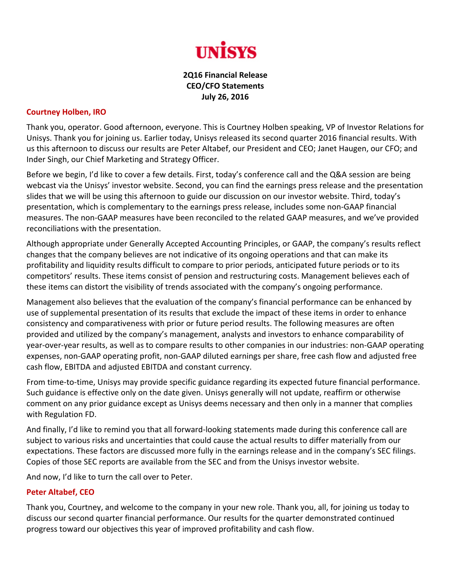

## **2Q16 Financial Release CEO/CFO Statements July 26, 2016**

## **Courtney Holben, IRO**

Thank you, operator. Good afternoon, everyone. This is Courtney Holben speaking, VP of Investor Relations for Unisys. Thank you for joining us. Earlier today, Unisys released its second quarter 2016 financial results. With us this afternoon to discuss our results are Peter Altabef, our President and CEO; Janet Haugen, our CFO; and Inder Singh, our Chief Marketing and Strategy Officer.

Before we begin, I'd like to cover a few details. First, today's conference call and the Q&A session are being webcast via the Unisys' investor website. Second, you can find the earnings press release and the presentation slides that we will be using this afternoon to guide our discussion on our investor website. Third, today's presentation, which is complementary to the earnings press release, includes some non‐GAAP financial measures. The non‐GAAP measures have been reconciled to the related GAAP measures, and we've provided reconciliations with the presentation.

Although appropriate under Generally Accepted Accounting Principles, or GAAP, the company's results reflect changes that the company believes are not indicative of its ongoing operations and that can make its profitability and liquidity results difficult to compare to prior periods, anticipated future periods or to its competitors' results. These items consist of pension and restructuring costs. Management believes each of these items can distort the visibility of trends associated with the company's ongoing performance.

Management also believes that the evaluation of the company's financial performance can be enhanced by use of supplemental presentation of its results that exclude the impact of these items in order to enhance consistency and comparativeness with prior or future period results. The following measures are often provided and utilized by the company's management, analysts and investors to enhance comparability of year‐over‐year results, as well as to compare results to other companies in our industries: non‐GAAP operating expenses, non‐GAAP operating profit, non‐GAAP diluted earnings per share, free cash flow and adjusted free cash flow, EBITDA and adjusted EBITDA and constant currency.

From time-to-time, Unisys may provide specific guidance regarding its expected future financial performance. Such guidance is effective only on the date given. Unisys generally will not update, reaffirm or otherwise comment on any prior guidance except as Unisys deems necessary and then only in a manner that complies with Regulation FD.

And finally, I'd like to remind you that all forward‐looking statements made during this conference call are subject to various risks and uncertainties that could cause the actual results to differ materially from our expectations. These factors are discussed more fully in the earnings release and in the company's SEC filings. Copies of those SEC reports are available from the SEC and from the Unisys investor website.

And now, I'd like to turn the call over to Peter.

## **Peter Altabef, CEO**

Thank you, Courtney, and welcome to the company in your new role. Thank you, all, for joining us today to discuss our second quarter financial performance. Our results for the quarter demonstrated continued progress toward our objectives this year of improved profitability and cash flow.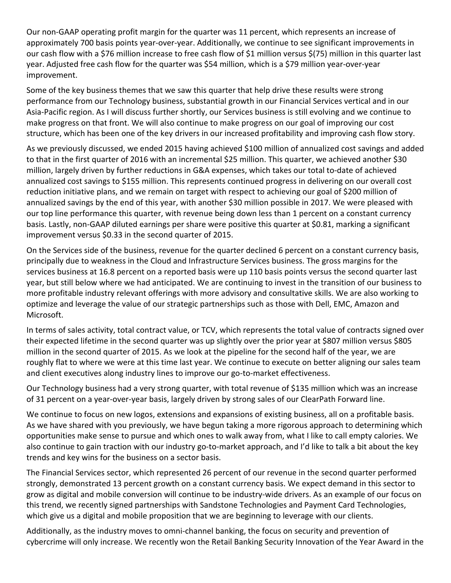Our non‐GAAP operating profit margin for the quarter was 11 percent, which represents an increase of approximately 700 basis points year-over-year. Additionally, we continue to see significant improvements in our cash flow with a \$76 million increase to free cash flow of \$1 million versus \$(75) million in this quarter last year. Adjusted free cash flow for the quarter was \$54 million, which is a \$79 million year‐over‐year improvement.

Some of the key business themes that we saw this quarter that help drive these results were strong performance from our Technology business, substantial growth in our Financial Services vertical and in our Asia‐Pacific region. As I will discuss further shortly, our Services business is still evolving and we continue to make progress on that front. We will also continue to make progress on our goal of improving our cost structure, which has been one of the key drivers in our increased profitability and improving cash flow story.

As we previously discussed, we ended 2015 having achieved \$100 million of annualized cost savings and added to that in the first quarter of 2016 with an incremental \$25 million. This quarter, we achieved another \$30 million, largely driven by further reductions in G&A expenses, which takes our total to‐date of achieved annualized cost savings to \$155 million. This represents continued progress in delivering on our overall cost reduction initiative plans, and we remain on target with respect to achieving our goal of \$200 million of annualized savings by the end of this year, with another \$30 million possible in 2017. We were pleased with our top line performance this quarter, with revenue being down less than 1 percent on a constant currency basis. Lastly, non‐GAAP diluted earnings per share were positive this quarter at \$0.81, marking a significant improvement versus \$0.33 in the second quarter of 2015.

On the Services side of the business, revenue for the quarter declined 6 percent on a constant currency basis, principally due to weakness in the Cloud and Infrastructure Services business. The gross margins for the services business at 16.8 percent on a reported basis were up 110 basis points versus the second quarter last year, but still below where we had anticipated. We are continuing to invest in the transition of our business to more profitable industry relevant offerings with more advisory and consultative skills. We are also working to optimize and leverage the value of our strategic partnerships such as those with Dell, EMC, Amazon and Microsoft.

In terms of sales activity, total contract value, or TCV, which represents the total value of contracts signed over their expected lifetime in the second quarter was up slightly over the prior year at \$807 million versus \$805 million in the second quarter of 2015. As we look at the pipeline for the second half of the year, we are roughly flat to where we were at this time last year. We continue to execute on better aligning our sales team and client executives along industry lines to improve our go-to-market effectiveness.

Our Technology business had a very strong quarter, with total revenue of \$135 million which was an increase of 31 percent on a year-over-year basis, largely driven by strong sales of our ClearPath Forward line.

We continue to focus on new logos, extensions and expansions of existing business, all on a profitable basis. As we have shared with you previously, we have begun taking a more rigorous approach to determining which opportunities make sense to pursue and which ones to walk away from, what I like to call empty calories. We also continue to gain traction with our industry go-to-market approach, and I'd like to talk a bit about the key trends and key wins for the business on a sector basis.

The Financial Services sector, which represented 26 percent of our revenue in the second quarter performed strongly, demonstrated 13 percent growth on a constant currency basis. We expect demand in this sector to grow as digital and mobile conversion will continue to be industry‐wide drivers. As an example of our focus on this trend, we recently signed partnerships with Sandstone Technologies and Payment Card Technologies, which give us a digital and mobile proposition that we are beginning to leverage with our clients.

Additionally, as the industry moves to omni‐channel banking, the focus on security and prevention of cybercrime will only increase. We recently won the Retail Banking Security Innovation of the Year Award in the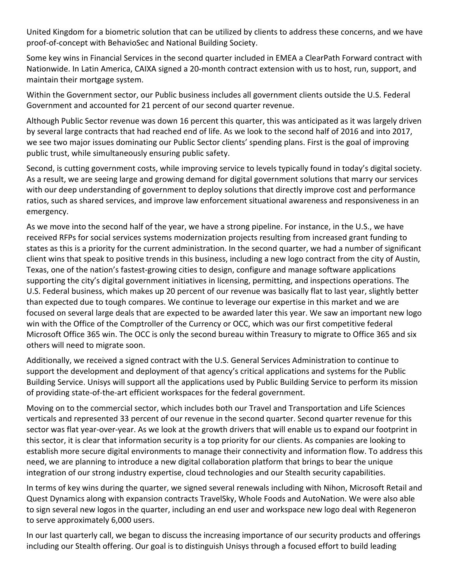United Kingdom for a biometric solution that can be utilized by clients to address these concerns, and we have proof‐of‐concept with BehavioSec and National Building Society.

Some key wins in Financial Services in the second quarter included in EMEA a ClearPath Forward contract with Nationwide. In Latin America, CAIXA signed a 20‐month contract extension with us to host, run, support, and maintain their mortgage system.

Within the Government sector, our Public business includes all government clients outside the U.S. Federal Government and accounted for 21 percent of our second quarter revenue.

Although Public Sector revenue was down 16 percent this quarter, this was anticipated as it was largely driven by several large contracts that had reached end of life. As we look to the second half of 2016 and into 2017, we see two major issues dominating our Public Sector clients' spending plans. First is the goal of improving public trust, while simultaneously ensuring public safety.

Second, is cutting government costs, while improving service to levels typically found in today's digital society. As a result, we are seeing large and growing demand for digital government solutions that marry our services with our deep understanding of government to deploy solutions that directly improve cost and performance ratios, such as shared services, and improve law enforcement situational awareness and responsiveness in an emergency.

As we move into the second half of the year, we have a strong pipeline. For instance, in the U.S., we have received RFPs for social services systems modernization projects resulting from increased grant funding to states as this is a priority for the current administration. In the second quarter, we had a number of significant client wins that speak to positive trends in this business, including a new logo contract from the city of Austin, Texas, one of the nation's fastest‐growing cities to design, configure and manage software applications supporting the city's digital government initiatives in licensing, permitting, and inspections operations. The U.S. Federal business, which makes up 20 percent of our revenue was basically flat to last year, slightly better than expected due to tough compares. We continue to leverage our expertise in this market and we are focused on several large deals that are expected to be awarded later this year. We saw an important new logo win with the Office of the Comptroller of the Currency or OCC, which was our first competitive federal Microsoft Office 365 win. The OCC is only the second bureau within Treasury to migrate to Office 365 and six others will need to migrate soon.

Additionally, we received a signed contract with the U.S. General Services Administration to continue to support the development and deployment of that agency's critical applications and systems for the Public Building Service. Unisys will support all the applications used by Public Building Service to perform its mission of providing state‐of‐the‐art efficient workspaces for the federal government.

Moving on to the commercial sector, which includes both our Travel and Transportation and Life Sciences verticals and represented 33 percent of our revenue in the second quarter. Second quarter revenue for this sector was flat year-over-year. As we look at the growth drivers that will enable us to expand our footprint in this sector, it is clear that information security is a top priority for our clients. As companies are looking to establish more secure digital environments to manage their connectivity and information flow. To address this need, we are planning to introduce a new digital collaboration platform that brings to bear the unique integration of our strong industry expertise, cloud technologies and our Stealth security capabilities.

In terms of key wins during the quarter, we signed several renewals including with Nihon, Microsoft Retail and Quest Dynamics along with expansion contracts TravelSky, Whole Foods and AutoNation. We were also able to sign several new logos in the quarter, including an end user and workspace new logo deal with Regeneron to serve approximately 6,000 users.

In our last quarterly call, we began to discuss the increasing importance of our security products and offerings including our Stealth offering. Our goal is to distinguish Unisys through a focused effort to build leading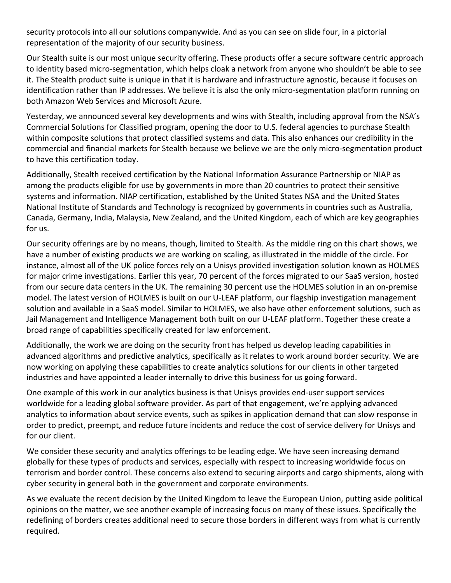security protocols into all our solutions companywide. And as you can see on slide four, in a pictorial representation of the majority of our security business.

Our Stealth suite is our most unique security offering. These products offer a secure software centric approach to identity based micro‐segmentation, which helps cloak a network from anyone who shouldn't be able to see it. The Stealth product suite is unique in that it is hardware and infrastructure agnostic, because it focuses on identification rather than IP addresses. We believe it is also the only micro-segmentation platform running on both Amazon Web Services and Microsoft Azure.

Yesterday, we announced several key developments and wins with Stealth, including approval from the NSA's Commercial Solutions for Classified program, opening the door to U.S. federal agencies to purchase Stealth within composite solutions that protect classified systems and data. This also enhances our credibility in the commercial and financial markets for Stealth because we believe we are the only micro-segmentation product to have this certification today.

Additionally, Stealth received certification by the National Information Assurance Partnership or NIAP as among the products eligible for use by governments in more than 20 countries to protect their sensitive systems and information. NIAP certification, established by the United States NSA and the United States National Institute of Standards and Technology is recognized by governments in countries such as Australia, Canada, Germany, India, Malaysia, New Zealand, and the United Kingdom, each of which are key geographies for us.

Our security offerings are by no means, though, limited to Stealth. As the middle ring on this chart shows, we have a number of existing products we are working on scaling, as illustrated in the middle of the circle. For instance, almost all of the UK police forces rely on a Unisys provided investigation solution known as HOLMES for major crime investigations. Earlier this year, 70 percent of the forces migrated to our SaaS version, hosted from our secure data centers in the UK. The remaining 30 percent use the HOLMES solution in an on‐premise model. The latest version of HOLMES is built on our U-LEAF platform, our flagship investigation management solution and available in a SaaS model. Similar to HOLMES, we also have other enforcement solutions, such as Jail Management and Intelligence Management both built on our U‐LEAF platform. Together these create a broad range of capabilities specifically created for law enforcement.

Additionally, the work we are doing on the security front has helped us develop leading capabilities in advanced algorithms and predictive analytics, specifically as it relates to work around border security. We are now working on applying these capabilities to create analytics solutions for our clients in other targeted industries and have appointed a leader internally to drive this business for us going forward.

One example of this work in our analytics business is that Unisys provides end‐user support services worldwide for a leading global software provider. As part of that engagement, we're applying advanced analytics to information about service events, such as spikes in application demand that can slow response in order to predict, preempt, and reduce future incidents and reduce the cost of service delivery for Unisys and for our client.

We consider these security and analytics offerings to be leading edge. We have seen increasing demand globally for these types of products and services, especially with respect to increasing worldwide focus on terrorism and border control. These concerns also extend to securing airports and cargo shipments, along with cyber security in general both in the government and corporate environments.

As we evaluate the recent decision by the United Kingdom to leave the European Union, putting aside political opinions on the matter, we see another example of increasing focus on many of these issues. Specifically the redefining of borders creates additional need to secure those borders in different ways from what is currently required.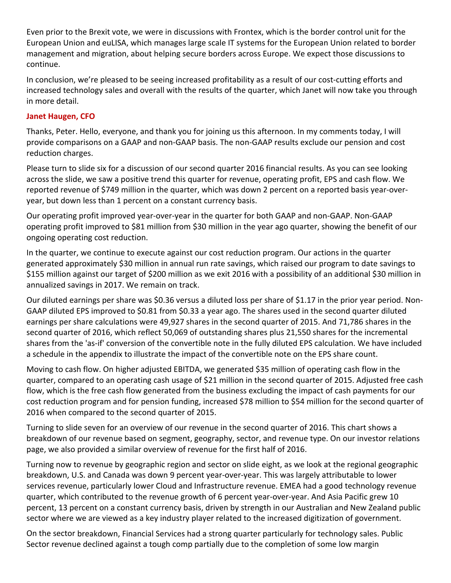Even prior to the Brexit vote, we were in discussions with Frontex, which is the border control unit for the European Union and euLISA, which manages large scale IT systems for the European Union related to border management and migration, about helping secure borders across Europe. We expect those discussions to continue.

In conclusion, we're pleased to be seeing increased profitability as a result of our cost-cutting efforts and increased technology sales and overall with the results of the quarter, which Janet will now take you through in more detail.

## **Janet Haugen, CFO**

Thanks, Peter. Hello, everyone, and thank you for joining us this afternoon. In my comments today, I will provide comparisons on a GAAP and non‐GAAP basis. The non‐GAAP results exclude our pension and cost reduction charges.

Please turn to slide six for a discussion of our second quarter 2016 financial results. As you can see looking across the slide, we saw a positive trend this quarter for revenue, operating profit, EPS and cash flow. We reported revenue of \$749 million in the quarter, which was down 2 percent on a reported basis year‐over‐ year, but down less than 1 percent on a constant currency basis.

Our operating profit improved year‐over‐year in the quarter for both GAAP and non‐GAAP. Non‐GAAP operating profit improved to \$81 million from \$30 million in the year ago quarter, showing the benefit of our ongoing operating cost reduction.

In the quarter, we continue to execute against our cost reduction program. Our actions in the quarter generated approximately \$30 million in annual run rate savings, which raised our program to date savings to \$155 million against our target of \$200 million as we exit 2016 with a possibility of an additional \$30 million in annualized savings in 2017. We remain on track.

Our diluted earnings per share was \$0.36 versus a diluted loss per share of \$1.17 in the prior year period. Non‐ GAAP diluted EPS improved to \$0.81 from \$0.33 a year ago. The shares used in the second quarter diluted earnings per share calculations were 49,927 shares in the second quarter of 2015. And 71,786 shares in the second quarter of 2016, which reflect 50,069 of outstanding shares plus 21,550 shares for the incremental shares from the 'as‐if' conversion of the convertible note in the fully diluted EPS calculation. We have included a schedule in the appendix to illustrate the impact of the convertible note on the EPS share count.

Moving to cash flow. On higher adjusted EBITDA, we generated \$35 million of operating cash flow in the quarter, compared to an operating cash usage of \$21 million in the second quarter of 2015. Adjusted free cash flow, which is the free cash flow generated from the business excluding the impact of cash payments for our cost reduction program and for pension funding, increased \$78 million to \$54 million for the second quarter of 2016 when compared to the second quarter of 2015.

Turning to slide seven for an overview of our revenue in the second quarter of 2016. This chart shows a breakdown of our revenue based on segment, geography, sector, and revenue type. On our investor relations page, we also provided a similar overview of revenue for the first half of 2016.

Turning now to revenue by geographic region and sector on slide eight, as we look at the regional geographic breakdown, U.S. and Canada was down 9 percent year‐over‐year. This was largely attributable to lower services revenue, particularly lower Cloud and Infrastructure revenue. EMEA had a good technology revenue quarter, which contributed to the revenue growth of 6 percent year‐over‐year. And Asia Pacific grew 10 percent, 13 percent on a constant currency basis, driven by strength in our Australian and New Zealand public sector where we are viewed as a key industry player related to the increased digitization of government.

On the sector breakdown, Financial Services had a strong quarter particularly for technology sales. Public Sector revenue declined against a tough comp partially due to the completion of some low margin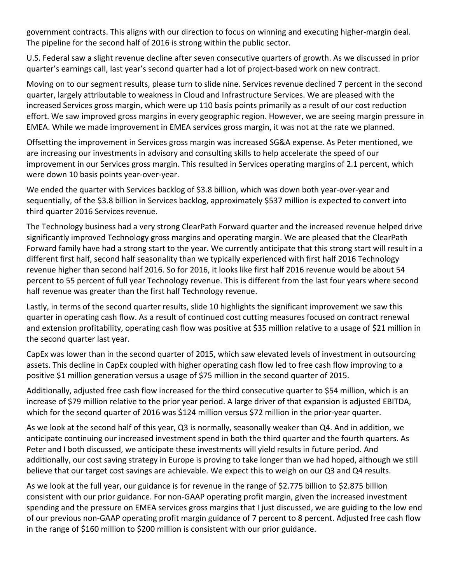government contracts. This aligns with our direction to focus on winning and executing higher‐margin deal. The pipeline for the second half of 2016 is strong within the public sector.

U.S. Federal saw a slight revenue decline after seven consecutive quarters of growth. As we discussed in prior quarter's earnings call, last year's second quarter had a lot of project‐based work on new contract.

Moving on to our segment results, please turn to slide nine. Services revenue declined 7 percent in the second quarter, largely attributable to weakness in Cloud and Infrastructure Services. We are pleased with the increased Services gross margin, which were up 110 basis points primarily as a result of our cost reduction effort. We saw improved gross margins in every geographic region. However, we are seeing margin pressure in EMEA. While we made improvement in EMEA services gross margin, it was not at the rate we planned.

Offsetting the improvement in Services gross margin was increased SG&A expense. As Peter mentioned, we are increasing our investments in advisory and consulting skills to help accelerate the speed of our improvement in our Services gross margin. This resulted in Services operating margins of 2.1 percent, which were down 10 basis points year‐over‐year.

We ended the quarter with Services backlog of \$3.8 billion, which was down both year-over-year and sequentially, of the \$3.8 billion in Services backlog, approximately \$537 million is expected to convert into third quarter 2016 Services revenue.

The Technology business had a very strong ClearPath Forward quarter and the increased revenue helped drive significantly improved Technology gross margins and operating margin. We are pleased that the ClearPath Forward family have had a strong start to the year. We currently anticipate that this strong start will result in a different first half, second half seasonality than we typically experienced with first half 2016 Technology revenue higher than second half 2016. So for 2016, it looks like first half 2016 revenue would be about 54 percent to 55 percent of full year Technology revenue. This is different from the last four years where second half revenue was greater than the first half Technology revenue.

Lastly, in terms of the second quarter results, slide 10 highlights the significant improvement we saw this quarter in operating cash flow. As a result of continued cost cutting measures focused on contract renewal and extension profitability, operating cash flow was positive at \$35 million relative to a usage of \$21 million in the second quarter last year.

CapEx was lower than in the second quarter of 2015, which saw elevated levels of investment in outsourcing assets. This decline in CapEx coupled with higher operating cash flow led to free cash flow improving to a positive \$1 million generation versus a usage of \$75 million in the second quarter of 2015.

Additionally, adjusted free cash flow increased for the third consecutive quarter to \$54 million, which is an increase of \$79 million relative to the prior year period. A large driver of that expansion is adjusted EBITDA, which for the second quarter of 2016 was \$124 million versus \$72 million in the prior-year quarter.

As we look at the second half of this year, Q3 is normally, seasonally weaker than Q4. And in addition, we anticipate continuing our increased investment spend in both the third quarter and the fourth quarters. As Peter and I both discussed, we anticipate these investments will yield results in future period. And additionally, our cost saving strategy in Europe is proving to take longer than we had hoped, although we still believe that our target cost savings are achievable. We expect this to weigh on our Q3 and Q4 results.

As we look at the full year, our guidance is for revenue in the range of \$2.775 billion to \$2.875 billion consistent with our prior guidance. For non‐GAAP operating profit margin, given the increased investment spending and the pressure on EMEA services gross margins that I just discussed, we are guiding to the low end of our previous non‐GAAP operating profit margin guidance of 7 percent to 8 percent. Adjusted free cash flow in the range of \$160 million to \$200 million is consistent with our prior guidance.